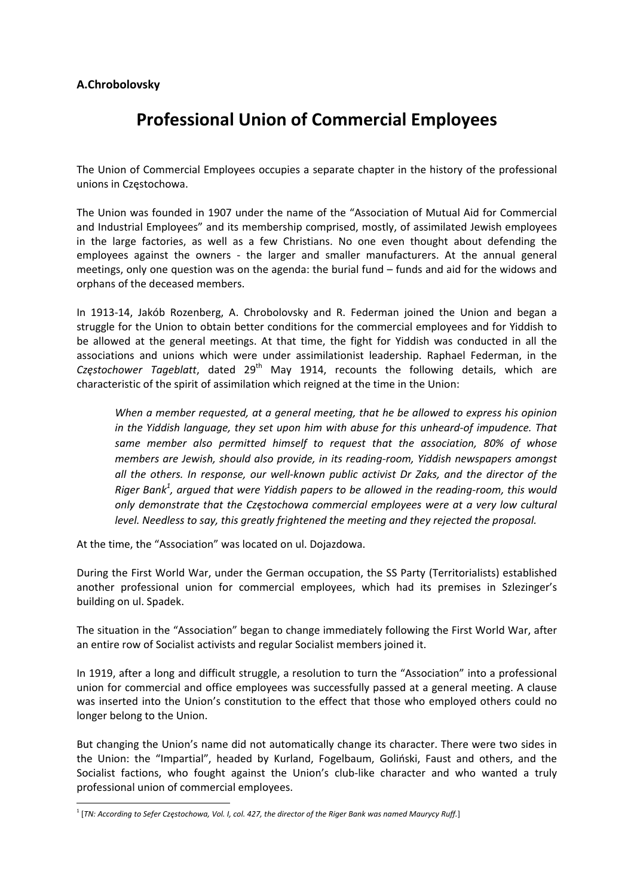## **A.Chrobolovsky**

## **Professional Union of Commercial Employees**

The Union of Commercial Employees occupies a separate chapter in the history of the professional unions in Częstochowa.

The Union was founded in 1907 under the name of the "Association of Mutual Aid for Commercial and Industrial Employees" and its membership comprised, mostly, of assimilated Jewish employees in the large factories, as well as a few Christians. No one even thought about defending the employees against the owners - the larger and smaller manufacturers. At the annual general meetings, only one question was on the agenda: the burial fund – funds and aid for the widows and orphans of the deceased members.

In 1913‐14, Jakób Rozenberg, A. Chrobolovsky and R. Federman joined the Union and began a struggle for the Union to obtain better conditions for the commercial employees and for Yiddish to be allowed at the general meetings. At that time, the fight for Yiddish was conducted in all the associations and unions which were under assimilationist leadership. Raphael Federman, in the *Częstochower Tageblatt*, dated 29th May 1914, recounts the following details, which are characteristic of the spirit of assimilation which reigned at the time in the Union:

*When a member requested, at a general meeting, that he be allowed to express his opinion in the Yiddish language, they set upon him with abuse for this unheard‐of impudence. That same member also permitted himself to request that the association, 80% of whose members are Jewish, should also provide, in its reading‐room, Yiddish newspapers amongst all the others. In response, our well‐known public activist Dr Zaks, and the director of the Riger Bank1 , argued that were Yiddish papers to be allowed in the reading‐room, this would only demonstrate that the Częstochowa commercial employees were at a very low cultural level. Needless to say, this greatly frightened the meeting and they rejected the proposal.*

At the time, the "Association" was located on ul. Dojazdowa.

During the First World War, under the German occupation, the SS Party (Territorialists) established another professional union for commercial employees, which had its premises in Szlezinger's building on ul. Spadek.

The situation in the "Association" began to change immediately following the First World War, after an entire row of Socialist activists and regular Socialist members joined it.

In 1919, after a long and difficult struggle, a resolution to turn the "Association" into a professional union for commercial and office employees was successfully passed at a general meeting. A clause was inserted into the Union's constitution to the effect that those who employed others could no longer belong to the Union.

But changing the Union's name did not automatically change its character. There were two sides in the Union: the "Impartial", headed by Kurland, Fogelbaum, Goliński, Faust and others, and the Socialist factions, who fought against the Union's club-like character and who wanted a truly professional union of commercial employees.

<sup>&</sup>lt;sup>1</sup> [TN: According to Sefer Częstochowa, Vol. I, col. 427, the director of the Riger Bank was named Maurycy Ruff.]